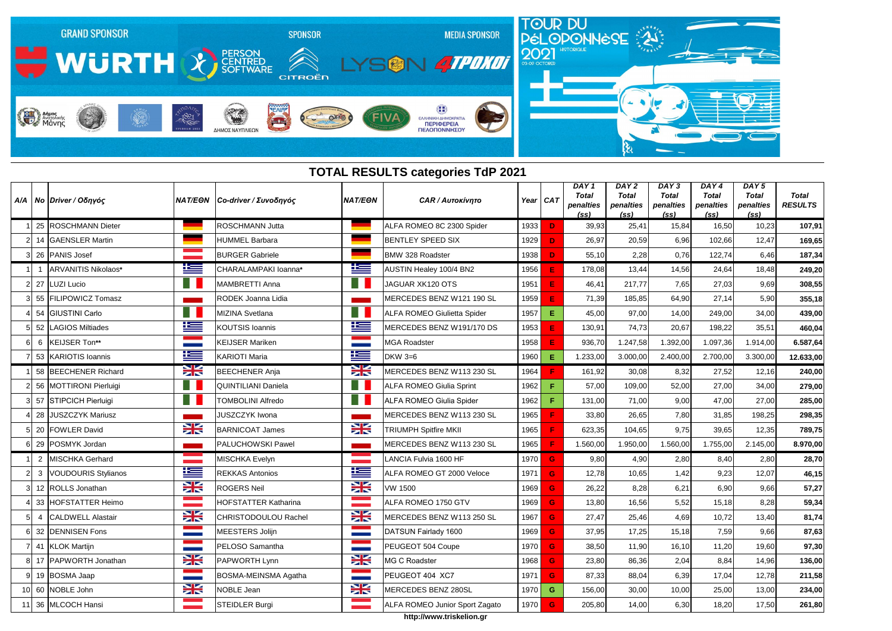

|                | Α/Α   Νο   Driver / Οδηγός | <b>NAT/EON</b>          | Co-driver / Συνοδηγός       | <b>NAT/EON</b>           | <b>CAR / Αυτοκίνητο</b>            |      | Year CAT     | DAY <sub>1</sub><br>Total<br>penalties<br>(s <sub>S</sub> ) | DAY <sub>2</sub><br><b>Total</b><br>penalties<br>(s <sub>S</sub> ) | DAY <sub>3</sub><br><b>Total</b><br>penalties<br>(s <sub>S</sub> ) | DAY4<br><b>Total</b><br>penalties<br>(s <sub>S</sub> ) | DAY <sub>5</sub><br><b>Total</b><br>penalties<br>(s <sub>S</sub> ) | <b>Total</b><br><b>RESULTS</b> |
|----------------|----------------------------|-------------------------|-----------------------------|--------------------------|------------------------------------|------|--------------|-------------------------------------------------------------|--------------------------------------------------------------------|--------------------------------------------------------------------|--------------------------------------------------------|--------------------------------------------------------------------|--------------------------------|
|                | 25 ROSCHMANN Dieter        |                         | ROSCHMANN Jutta             |                          | ALFA ROMEO 8C 2300 Spider          | 1933 | D            | 39,93                                                       | 25,41                                                              | 15,84                                                              | 16,50                                                  | 10,23                                                              | 107,91                         |
|                | 14 GAENSLER Martin         |                         | <b>HUMMEL Barbara</b>       |                          | <b>BENTLEY SPEED SIX</b>           | 1929 | D            | 26,97                                                       | 20,59                                                              | 6,96                                                               | 102,66                                                 | 12,47                                                              | 169,65                         |
|                | 26 PANIS Josef             |                         | <b>BURGER Gabriele</b>      |                          | <b>BMW 328 Roadster</b>            | 1938 | D            | 55,10                                                       | 2,28                                                               | 0,76                                                               | 122,74                                                 | 6,46                                                               | 187,34                         |
|                | ARVANITIS Nikolaos*        | ╩═                      | CHARALAMPAKI Ioanna*        | 些                        | AUSTIN Healey 100/4 BN2            | 1956 | E            | 178,08                                                      | 13,44                                                              | 14,56                                                              | 24,64                                                  | 18,48                                                              | 249,20                         |
| 27             | <b>LUZI Lucio</b>          |                         | MAMBRETTI Anna              | ш                        | JAGUAR XK120 OTS                   | 1951 | E            | 46,41                                                       | 217,77                                                             | 7,65                                                               | 27,03                                                  | 9,69                                                               | 308,55                         |
|                | 55 FILIPOWICZ Tomasz       |                         | RODEK Joanna Lidia          |                          | MERCEDES BENZ W121 190 SL          | 1959 | E            | 71,39                                                       | 185,85                                                             | 64,90                                                              | 27,14                                                  | 5,90                                                               | 355,18                         |
|                | 54 GIUSTINI Carlo          |                         | MIZINA Svetlana             |                          | <b>ALFA ROMEO Giulietta Spider</b> | 1957 | E.           | 45,00                                                       | 97,00                                                              | 14,00                                                              | 249,00                                                 | 34,00                                                              | 439,00                         |
| 52             | <b>LAGIOS Miltiades</b>    | 坚                       | <b>KOUTSIS Ioannis</b>      | <u>ik –</u>              | MERCEDES BENZ W191/170 DS          | 1953 | E            | 130,91                                                      | 74,73                                                              | 20,67                                                              | 198,22                                                 | 35,51                                                              | 460,04                         |
| 6              | KEIJSER Ton**              | <b>STATISTICS</b>       | <b>KEIJSER Mariken</b>      | <b>Contract</b>          | <b>MGA Roadster</b>                | 1958 | E            | 936,70                                                      | 1.247,58                                                           | 1.392,00                                                           | 1.097,36                                               | 1.914,00                                                           | 6.587,64                       |
|                | 53 KARIOTIS Ioannis        | 坚                       | <b>KARIOTI Maria</b>        | 些                        | DKW $3=6$                          | 1960 | E            | 1.233,00                                                    | 3.000,00                                                           | 2.400,00                                                           | 2.700,00                                               | 3.300,00                                                           | 12.633,00                      |
|                | 58 BEECHENER Richard       | XK                      | <b>BEECHENER Anja</b>       | X                        | MERCEDES BENZ W113 230 SL          | 1964 |              | 161,92                                                      | 30,08                                                              | 8,32                                                               | 27,52                                                  | 12,16                                                              | 240,00                         |
|                | 56 MOTTIRONI Pierluigi     | ■                       | <b>QUINTILIANI Daniela</b>  |                          | <b>ALFA ROMEO Giulia Sprint</b>    | 1962 | F.           | 57,00                                                       | 109,00                                                             | 52,00                                                              | 27,00                                                  | 34,00                                                              | 279,00                         |
|                | 57 STIPCICH Pierluigi      |                         | <b>TOMBOLINI Alfredo</b>    |                          | <b>ALFA ROMEO Giulia Spider</b>    | 1962 | F.           | 131,00                                                      | 71,00                                                              | 9,00                                                               | 47,00                                                  | 27,00                                                              | 285,00                         |
| 28             | <b>JUSZCZYK Mariusz</b>    |                         | <b>JUSZCZYK Iwona</b>       |                          | MERCEDES BENZ W113 230 SL          | 1965 |              | 33,80                                                       | 26,65                                                              | 7,80                                                               | 31,85                                                  | 198,25                                                             | 298,35                         |
|                | 20 FOWLER David            | $\geq$                  | <b>BARNICOAT James</b>      | <b>SK</b>                | <b>TRIUMPH Spitfire MKII</b>       | 1965 |              | 623,35                                                      | 104,65                                                             | 9,75                                                               | 39,65                                                  | 12,35                                                              | 789,75                         |
|                | 6 29 POSMYK Jordan         |                         | PALUCHOWSKI Pawel           |                          | MERCEDES BENZ W113 230 SL          | 1965 |              | 1.560,00                                                    | 1.950,00                                                           | 1.560,00                                                           | 1.755,00                                               | 2.145,00                                                           | 8.970,00                       |
| $\overline{2}$ | <b>MISCHKA Gerhard</b>     |                         | MISCHKA Evelyn              |                          | <b>ANCIA Fulvia 1600 HF</b>        | 1970 | G            | 9,80                                                        | 4,90                                                               | 2,80                                                               | 8,40                                                   | 2,80                                                               | 28,70                          |
|                | <b>VOUDOURIS Stylianos</b> | ٢Ŧ                      | <b>REKKAS Antonios</b>      | 坚                        | ALFA ROMEO GT 2000 Veloce          | 1971 | G            | 12,78                                                       | 10,65                                                              | 1,42                                                               | 9,23                                                   | 12,07                                                              | 46,15                          |
|                | 12 ROLLS Jonathan          | X                       | <b>ROGERS Neil</b>          | X                        | VW 1500                            | 1969 | G            | 26,22                                                       | 8,28                                                               | 6,21                                                               | 6,90                                                   | 9,66                                                               | 57,27                          |
|                | 33 HOFSTATTER Heimo        |                         | <b>HOFSTATTER Katharina</b> |                          | ALFA ROMEO 1750 GTV                | 1969 | G            | 13,80                                                       | 16,56                                                              | 5,52                                                               | 15,18                                                  | 8,28                                                               | 59,34                          |
|                | 4 CALDWELL Alastair        | NZ<br><b>ZK</b>         | CHRISTODOULOU Rachel        | NZ<br><b>ZK</b>          | MERCEDES BENZ W113 250 SL          | 1967 | -G.          | 27,47                                                       | 25,46                                                              | 4,69                                                               | 10,72                                                  | 13,40                                                              | 81,74                          |
|                | 32 DENNISEN Fons           | <b>STATE</b>            | <b>MEESTERS Jolijn</b>      | <b>Contract</b>          | DATSUN Fairlady 1600               | 1969 | G            | 37,95                                                       | 17,25                                                              | 15,18                                                              | 7,59                                                   | 9,66                                                               | 87,63                          |
|                | 41 KLOK Martijn            | <b>Contract</b>         | PELOSO Samantha             | <b>Contract Contract</b> | PEUGEOT 504 Coupe                  | 1970 | G            | 38,50                                                       | 11,90                                                              | 16,10                                                              | 11,20                                                  | 19,60                                                              | 97,30                          |
|                | 8 17 PAPWORTH Jonathan     | X                       | PAPWORTH Lynn               | $\frac{1}{2}$            | MG C Roadster                      | 1968 | G            | 23,80                                                       | 86,36                                                              | 2,04                                                               | 8,84                                                   | 14,96                                                              | 136,00                         |
|                | 9 19 BOSMA Jaap            | <b>STATISTICS</b><br>-- | BOSMA-MEINSMA Agatha        | <b>Contract Contract</b> | PEUGEOT 404 XC7                    | 1971 | G            | 87,33                                                       | 88,04                                                              | 6,39                                                               | 17,04                                                  | 12,78                                                              | 211,58                         |
|                | 10 60 NOBLE John           | X                       | NOBLE Jean                  | X                        | MERCEDES BENZ 280SL                | 1970 | G            | 156,00                                                      | 30,00                                                              | 10,00                                                              | 25,00                                                  | 13,00                                                              | 234,00                         |
|                | 11 36 MLCOCH Hansi         |                         | STEIDLER Burgi              |                          | ALFA ROMEO Junior Sport Zagato     | 1970 | $\mathbf{G}$ | 205,80                                                      | 14,00                                                              | 6,30                                                               | 18,20                                                  | 17,50                                                              | 261,80                         |

## **TOTAL RESULTS categories TdP 2021**

**http://www.triskelion.gr**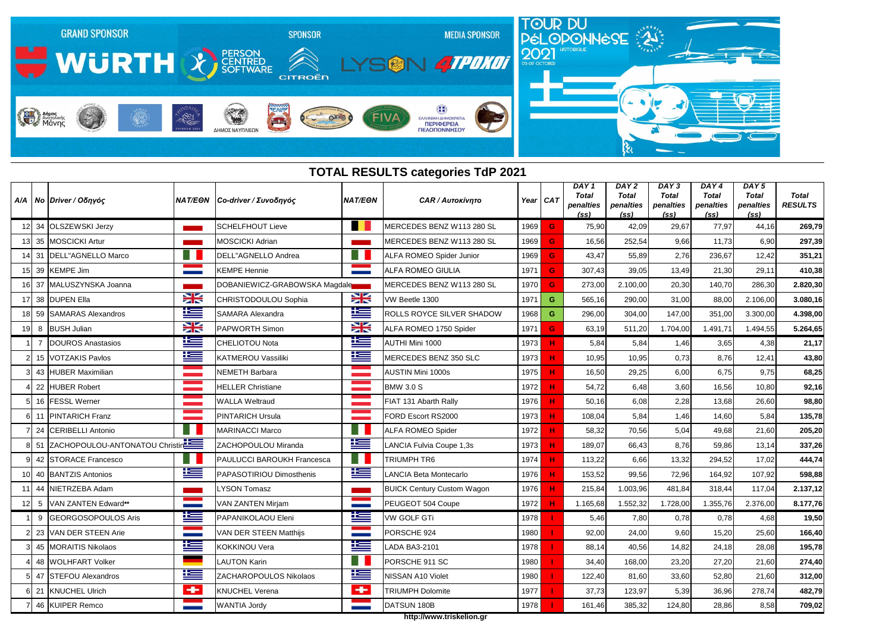## **TOTAL RESULTS categories TdP 2021**



|                | Α/Α   Νο   Driver / Οδηγός        |                    | ΝΑΤ/ΕΘΝ Co-driver / Συνοδηγός | <b>NAT/EON</b>           | <b>CAR / Αυτοκίνητο</b>           | Year | $1$ CAT | DAY <sub>1</sub><br>Total<br>penalties<br>(s <sub>S</sub> ) | DAY <sub>2</sub><br><b>Total</b><br>penalties<br>(s <sub>S</sub> ) | DAY <sub>3</sub><br><b>Total</b><br>penalties<br>(s <sub>S</sub> ) | DAY4<br><b>Total</b><br>penalties<br>(s <sub>S</sub> ) | DAY <sub>5</sub><br><b>Total</b><br>penalties<br>(s <sub>S</sub> ) | <b>Total</b><br><b>RESULTS</b> |
|----------------|-----------------------------------|--------------------|-------------------------------|--------------------------|-----------------------------------|------|---------|-------------------------------------------------------------|--------------------------------------------------------------------|--------------------------------------------------------------------|--------------------------------------------------------|--------------------------------------------------------------------|--------------------------------|
|                | 34 OLSZEWSKI Jerzy                |                    | <b>SCHELFHOUT Lieve</b>       |                          | MERCEDES BENZ W113 280 SL         | 1969 | G       | 75,90                                                       | 42,09                                                              | 29,67                                                              | 77,97                                                  | 44,16                                                              | 269,79                         |
|                | 13 35 MOSCICKI Artur              |                    | <b>MOSCICKI Adrian</b>        |                          | MERCEDES BENZ W113 280 SL         | 1969 | G       | 16,56                                                       | 252,54                                                             | 9,66                                                               | 11,73                                                  | 6,90                                                               | 297,39                         |
|                | 14 31 DELL"AGNELLO Marco          |                    | DELL"AGNELLO Andrea           |                          | ALFA ROMEO Spider Junior          | 1969 | G       | 43,47                                                       | 55,89                                                              | 2,76                                                               | 236,67                                                 | 12,42                                                              | 351,21                         |
|                | 39 KEMPE Jim                      |                    | <b>KEMPE Hennie</b>           |                          | <b>ALFA ROMEO GIULIA</b>          | 1971 | G       | 307,43                                                      | 39,05                                                              | 13,49                                                              | 21,30                                                  | 29,11                                                              | 410,38                         |
|                | 37 MALUSZYNSKA Joanna             |                    | DOBANIEWICZ-GRABOWSKA Magdale |                          | MERCEDES BENZ W113 280 SL         | 1970 | G       | 273,00                                                      | 2.100,00                                                           | 20,30                                                              | 140,70                                                 | 286,30                                                             | 2.820,30                       |
|                | 38 DUPEN Ella                     | X                  | <b>CHRISTODOULOU Sophia</b>   | X                        | VW Beetle 1300                    | 1971 | G       | 565,16                                                      | 290,00                                                             | 31,00                                                              | 88,00                                                  | 2.106,00                                                           | 3.080,16                       |
|                | 59 SAMARAS Alexandros             | 坚                  | SAMARA Alexandra              | <u>ik s</u>              | <b>ROLLS ROYCE SILVER SHADOW</b>  | 1968 | G       | 296,00                                                      | 304,00                                                             | 147,00                                                             | 351,00                                                 | 3.300,00                                                           | 4.398,00                       |
|                | 8 BUSH Julian                     | X                  | <b>PAPWORTH Simon</b>         | X                        | ALFA ROMEO 1750 Spider            | 1971 | G       | 63,19                                                       | 511,20                                                             | 1.704,00                                                           | 1.491,71                                               | 1.494,55                                                           | 5.264,65                       |
| $\overline{7}$ | DOUROS Anastasios                 | <u>ik –</u>        | CHELIOTOU Nota                | 华兰                       | AUTHI Mini 1000                   | 1973 |         | 5,84                                                        | 5,84                                                               | 1,46                                                               | 3,65                                                   | 4,38                                                               | 21,17                          |
|                | 15 VOTZAKIS Pavlos                | <u>اعتل</u>        | KATMEROU Vassiliki            | <u>is </u>               | MERCEDES BENZ 350 SLC             | 1973 |         | 10,95                                                       | 10,95                                                              | 0,73                                                               | 8,76                                                   | 12,41                                                              | 43,80                          |
|                | 43 HUBER Maximilian               |                    | <b>NEMETH Barbara</b>         | <b>The Common</b>        | <b>AUSTIN Mini 1000s</b>          | 1975 | н       | 16,50                                                       | 29,25                                                              | 6,00                                                               | 6,75                                                   | 9,75                                                               | 68,25                          |
|                | 22 HUBER Robert                   |                    | <b>HELLER Christiane</b>      | <b>The Company</b>       | <b>BMW 3.0 S</b>                  | 1972 |         | 54,72                                                       | 6,48                                                               | 3,60                                                               | 16,56                                                  | 10,80                                                              | 92,16                          |
|                | 16 FESSL Werner                   | a a shekara        | <b>WALLA Weltraud</b>         | a provincia              | FIAT 131 Abarth Rally             | 1976 | н       | 50,16                                                       | 6,08                                                               | 2,28                                                               | 13,68                                                  | 26,60                                                              | 98,80                          |
|                | 11 PINTARICH Franz                |                    | <b>PINTARICH Ursula</b>       |                          | FORD Escort RS2000                | 1973 | н       | 108,04                                                      | 5,84                                                               | 1,46                                                               | 14,60                                                  | 5,84                                                               | 135,78                         |
|                | 24 CERIBELLI Antonio              | a se               | <b>MARINACCI Marco</b>        | H I                      | <b>ALFA ROMEO Spider</b>          | 1972 |         | 58,32                                                       | 70,56                                                              | 5,04                                                               | 49,68                                                  | 21,60                                                              | 205,20                         |
|                | 51 ZACHOPOULOU-ANTONATOU Christin |                    | ZACHOPOULOU Miranda           | 华兰                       | LANCIA Fulvia Coupe 1,3s          | 1973 | н       | 189,07                                                      | 66,43                                                              | 8,76                                                               | 59,86                                                  | 13,14                                                              | 337,26                         |
|                | 42 STORACE Francesco              | H                  | PAULUCCI BAROUKH Francesca    | Ħ                        | <b>TRIUMPH TR6</b>                | 1974 | н       | 113,22                                                      | 6,66                                                               | 13,32                                                              | 294,52                                                 | 17,02                                                              | 444,74                         |
|                | 10 40 BANTZIS Antonios            | <u>is –</u>        | PAPASOTIRIOU Dimosthenis      | <u>ik se</u>             | <b>LANCIA Beta Montecarlo</b>     | 1976 |         | 153,52                                                      | 99,56                                                              | 72,96                                                              | 164,92                                                 | 107,92                                                             | 598,88                         |
|                | 11 44 NIETRZEBA Adam              |                    | LYSON Tomasz                  |                          | <b>BUICK Century Custom Wagon</b> | 1976 | н       | 215,84                                                      | 1.003,96                                                           | 481,84                                                             | 318,44                                                 | 117,04                                                             | 2.137,12                       |
| 5              | VAN ZANTEN Edward**               |                    | <b>VAN ZANTEN Mirjam</b>      |                          | PEUGEOT 504 Coupe                 | 1972 |         | 1.165,68                                                    | 1.552,32                                                           | 1.728,00                                                           | 1.355,76                                               | 2.376,00                                                           | 8.177,76                       |
|                | 9 GEORGOSOPOULOS Aris             | <u>r –</u>         | PAPANIKOLAOU Eleni            | <u>r –</u>               | <b>VW GOLF GTi</b>                | 1978 |         | 5,46                                                        | 7,80                                                               | 0,78                                                               | 0,78                                                   | 4,68                                                               | 19,50                          |
|                | 23 VAN DER STEEN Arie             | <b>State State</b> | <b>VAN DER STEEN Matthijs</b> | <b>Contract Contract</b> | PORSCHE 924                       | 1980 |         | 92,00                                                       | 24,00                                                              | 9,60                                                               | 15,20                                                  | 25,60                                                              | 166,40                         |
|                | 45 MORAITIS Nikolaos              | ٢                  | <b>KOKKINOU Vera</b>          | <u>ik –</u>              | LADA BA3-2101                     | 1978 |         | 88,14                                                       | 40,56                                                              | 14,82                                                              | 24,18                                                  | 28,08                                                              | 195,78                         |
|                | 48 WOLHFART Volker                |                    | LAUTON Karin                  | Ш                        | PORSCHE 911 SC                    | 1980 |         | 34,40                                                       | 168,00                                                             | 23,20                                                              | 27,20                                                  | 21,60                                                              | 274,40                         |
|                | 47 STEFOU Alexandros              | <u>ik –</u>        | ZACHAROPOULOS Nikolaos        | <u>ikas</u>              | NISSAN A10 Violet                 | 1980 |         | 122,40                                                      | 81,60                                                              | 33,60                                                              | 52,80                                                  | 21,60                                                              | 312,00                         |
|                | 6 21 KNUCHEL Ulrich               | $\leftarrow$       | <b>KNUCHEL Verena</b>         | $\leftarrow$             | <b>TRIUMPH Dolomite</b>           | 1977 |         | 37,73                                                       | 123,97                                                             | 5,39                                                               | 36,96                                                  | 278,74                                                             | 482,79                         |
|                | 7 46 KUIPER Remco                 | <b>Contract</b>    | <b>WANTIA Jordy</b>           | <b>Contract Contract</b> | DATSUN 180B                       | 1978 |         | 161,46                                                      | 385,32                                                             | 124,80                                                             | 28,86                                                  | 8,58                                                               | 709,02                         |

**http://www.triskelion.gr**